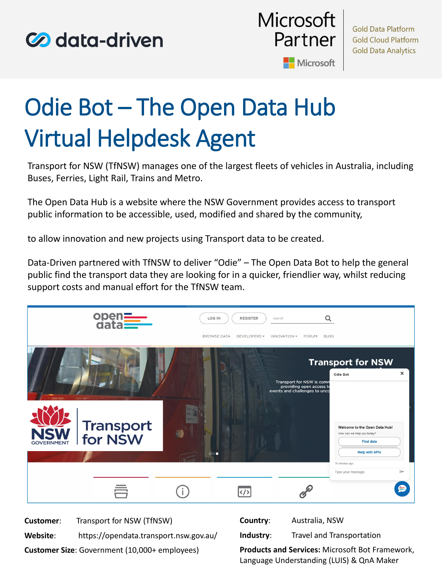



# Odie Bot – The Open Data Hub Virtual Helpdesk Agent

Transport for NSW (TfNSW) manages one of the largest fleets of vehicles in Australia, including Buses, Ferries, Light Rail, Trains and Metro.

The Open Data Hub is a website where the NSW Government provides access to transport public information to be accessible, used, modified and shared by the community,

to allow innovation and new projects using Transport data to be created.

Data-Driven partnered with TfNSW to deliver "Odie" – The Open Data Bot to help the general public find the transport data they are looking for in a quicker, friendlier way, whilst reducing support costs and manual effort for the TfNSW team.



**Customer Size**: Government (10,000+ employees)

**Products and Services:** Microsoft Bot Framework, Language Understanding (LUIS) & QnA Maker